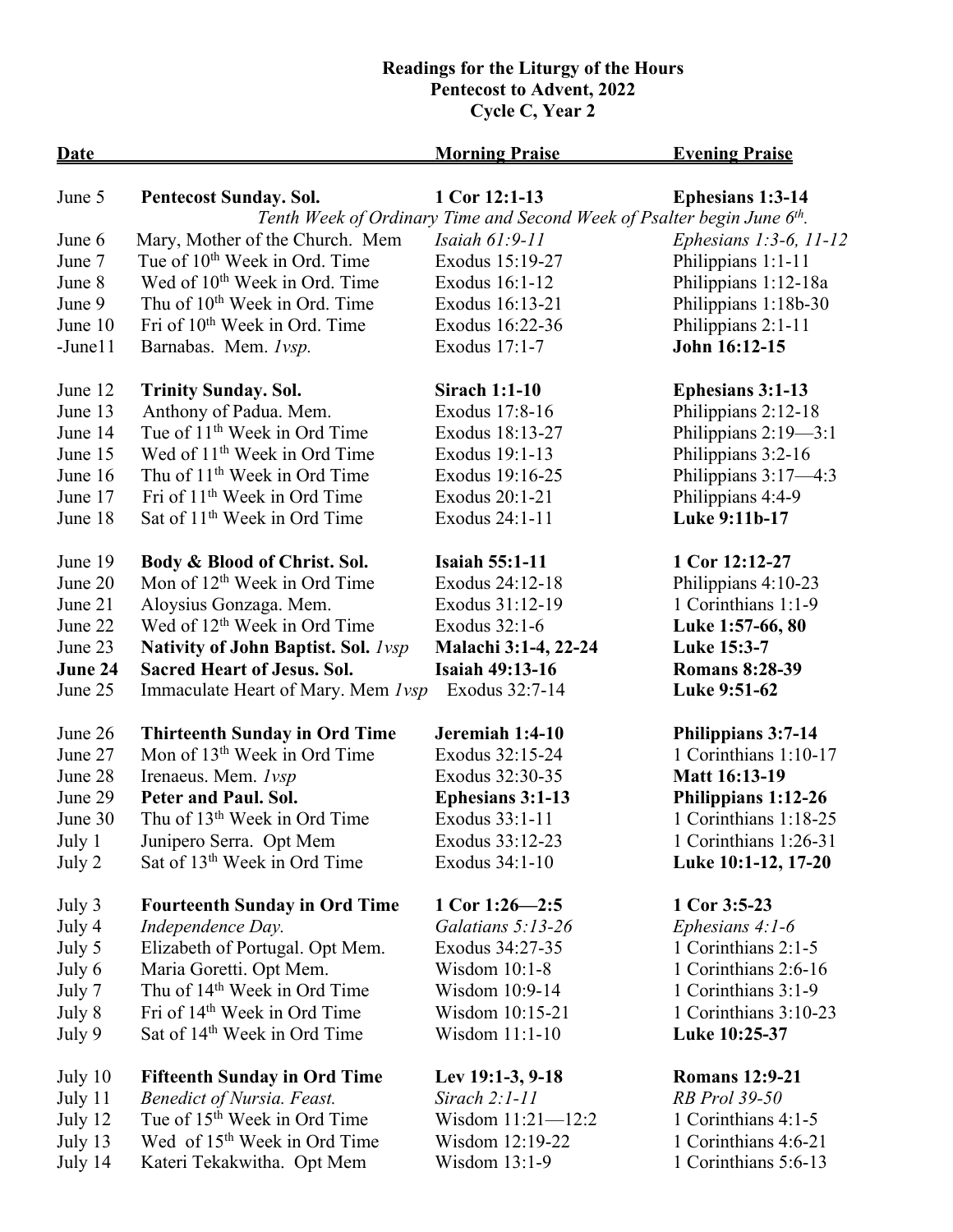## **Readings for the Liturgy of the Hours Pentecost to Advent, 2022 Cycle C, Year 2**

| <b>Date</b> |                                            | <b>Morning Praise</b>                                                               | <b>Evening Praise</b>       |
|-------------|--------------------------------------------|-------------------------------------------------------------------------------------|-----------------------------|
| June 5      | <b>Pentecost Sunday. Sol.</b>              | 1 Cor 12:1-13                                                                       | <b>Ephesians 1:3-14</b>     |
|             |                                            | Tenth Week of Ordinary Time and Second Week of Psalter begin June 6 <sup>th</sup> . |                             |
| June 6      | Mary, Mother of the Church. Mem            | <i>Isaiah 61:9-11</i>                                                               | Ephesians $1:3-6$ , $11-12$ |
| June 7      | Tue of 10 <sup>th</sup> Week in Ord. Time  | Exodus 15:19-27                                                                     | Philippians 1:1-11          |
| June 8      | Wed of 10 <sup>th</sup> Week in Ord. Time  | Exodus 16:1-12                                                                      | Philippians 1:12-18a        |
| June 9      | Thu of 10 <sup>th</sup> Week in Ord. Time  | Exodus 16:13-21                                                                     | Philippians 1:18b-30        |
| June 10     | Fri of 10 <sup>th</sup> Week in Ord. Time  | Exodus 16:22-36                                                                     | Philippians 2:1-11          |
| $-June11$   | Barnabas. Mem. <i>lvsp</i> .               | Exodus 17:1-7                                                                       | John 16:12-15               |
| June 12     | <b>Trinity Sunday. Sol.</b>                | <b>Sirach 1:1-10</b>                                                                | <b>Ephesians 3:1-13</b>     |
| June 13     | Anthony of Padua. Mem.                     | Exodus 17:8-16                                                                      | Philippians 2:12-18         |
| June 14     | Tue of 11 <sup>th</sup> Week in Ord Time   | Exodus 18:13-27                                                                     | Philippians 2:19-3:1        |
| June 15     | Wed of 11 <sup>th</sup> Week in Ord Time   | Exodus 19:1-13                                                                      | Philippians 3:2-16          |
| June 16     | Thu of 11 <sup>th</sup> Week in Ord Time   | Exodus 19:16-25                                                                     | Philippians 3:17-4:3        |
| June 17     | Fri of 11 <sup>th</sup> Week in Ord Time   | Exodus 20:1-21                                                                      | Philippians 4:4-9           |
| June 18     | Sat of 11 <sup>th</sup> Week in Ord Time   | Exodus 24:1-11                                                                      | Luke 9:11b-17               |
| June 19     | Body & Blood of Christ. Sol.               | <b>Isaiah 55:1-11</b>                                                               | 1 Cor 12:12-27              |
| June 20     | Mon of 12 <sup>th</sup> Week in Ord Time   | Exodus 24:12-18                                                                     | Philippians 4:10-23         |
| June 21     | Aloysius Gonzaga. Mem.                     | Exodus 31:12-19                                                                     | 1 Corinthians 1:1-9         |
| June 22     | Wed of 12 <sup>th</sup> Week in Ord Time   | Exodus 32:1-6                                                                       | Luke 1:57-66, 80            |
| June 23     | <b>Nativity of John Baptist. Sol.</b> Ivsp | Malachi 3:1-4, 22-24                                                                | Luke 15:3-7                 |
| June 24     | <b>Sacred Heart of Jesus. Sol.</b>         | <b>Isaiah 49:13-16</b>                                                              | <b>Romans 8:28-39</b>       |
| June 25     | Immaculate Heart of Mary. Mem <i>lvsp</i>  | Exodus 32:7-14                                                                      | Luke 9:51-62                |
| June 26     | <b>Thirteenth Sunday in Ord Time</b>       | Jeremiah 1:4-10                                                                     | <b>Philippians 3:7-14</b>   |
| June 27     | Mon of 13 <sup>th</sup> Week in Ord Time   | Exodus 32:15-24                                                                     | 1 Corinthians 1:10-17       |
| June 28     | Irenaeus. Mem. 1vsp                        | Exodus 32:30-35                                                                     | <b>Matt 16:13-19</b>        |
| June 29     | Peter and Paul. Sol.                       | <b>Ephesians 3:1-13</b>                                                             | Philippians 1:12-26         |
| June 30     | Thu of 13 <sup>th</sup> Week in Ord Time   | Exodus 33:1-11                                                                      | 1 Corinthians 1:18-25       |
| July 1      | Junipero Serra. Opt Mem                    | Exodus 33:12-23                                                                     | 1 Corinthians 1:26-31       |
| July 2      | Sat of 13 <sup>th</sup> Week in Ord Time   | Exodus 34:1-10                                                                      | Luke 10:1-12, 17-20         |
| July 3      | <b>Fourteenth Sunday in Ord Time</b>       | 1 Cor 1:26-2:5                                                                      | 1 Cor 3:5-23                |
| July 4      | Independence Day.                          | Galatians 5:13-26                                                                   | Ephesians 4:1-6             |
| July 5      | Elizabeth of Portugal. Opt Mem.            | Exodus 34:27-35                                                                     | 1 Corinthians 2:1-5         |
| July 6      | Maria Goretti. Opt Mem.                    | Wisdom 10:1-8                                                                       | 1 Corinthians 2:6-16        |
| July 7      | Thu of 14 <sup>th</sup> Week in Ord Time   | Wisdom 10:9-14                                                                      | 1 Corinthians 3:1-9         |
| July 8      | Fri of 14 <sup>th</sup> Week in Ord Time   | Wisdom 10:15-21                                                                     | 1 Corinthians 3:10-23       |
| July 9      | Sat of 14 <sup>th</sup> Week in Ord Time   | Wisdom 11:1-10                                                                      | Luke 10:25-37               |
| July 10     | <b>Fifteenth Sunday in Ord Time</b>        | Lev 19:1-3, 9-18                                                                    | <b>Romans 12:9-21</b>       |
| July 11     | <b>Benedict of Nursia. Feast.</b>          | Sirach $2:1-11$                                                                     | RB Prol 39-50               |
| July 12     | Tue of 15 <sup>th</sup> Week in Ord Time   | Wisdom $11:21 - 12:2$                                                               | 1 Corinthians 4:1-5         |
| July 13     | Wed of 15 <sup>th</sup> Week in Ord Time   | Wisdom 12:19-22                                                                     | 1 Corinthians 4:6-21        |
| July 14     | Kateri Tekakwitha. Opt Mem                 | Wisdom 13:1-9                                                                       | 1 Corinthians 5:6-13        |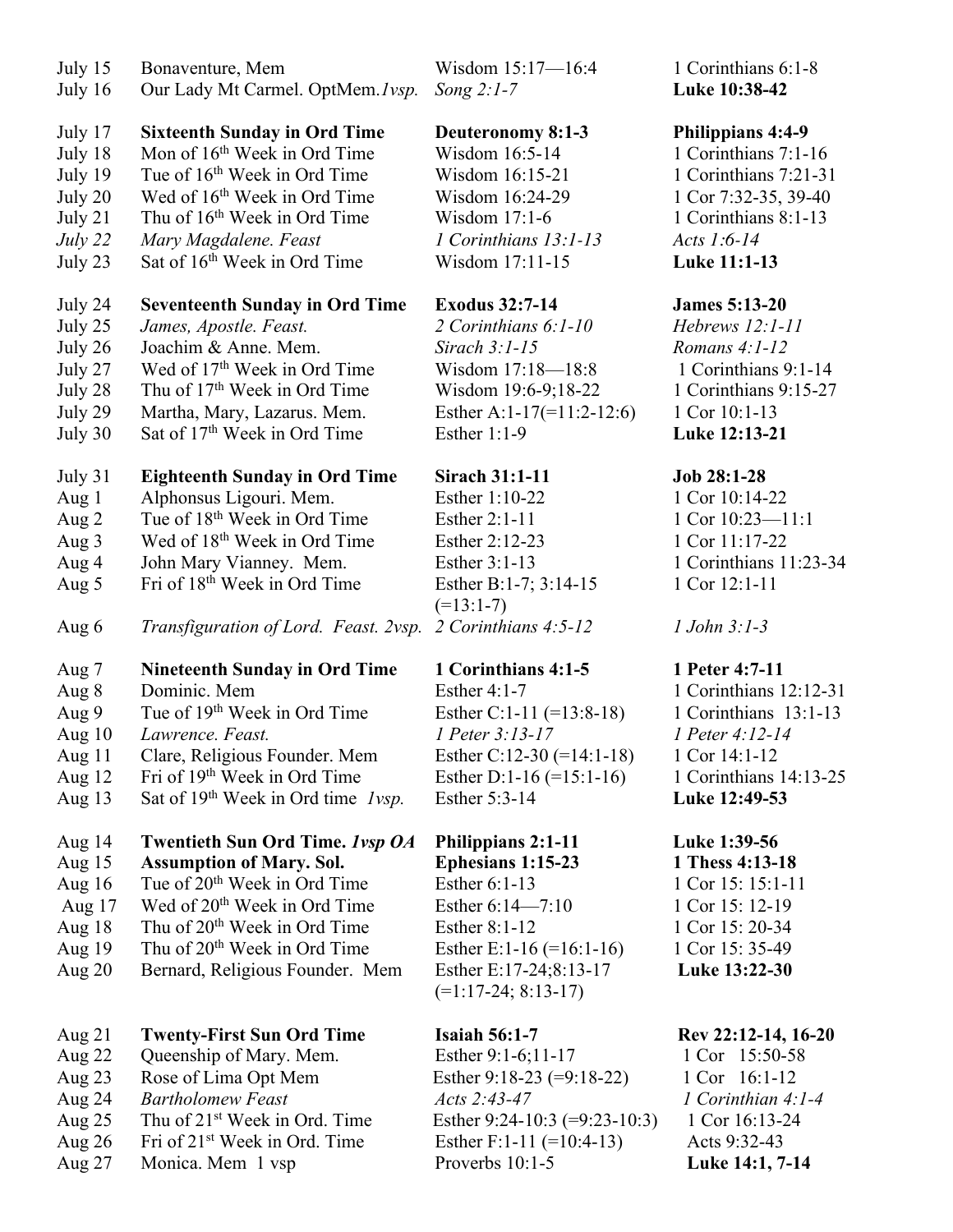| July 15<br>July 16 | Bonaventure, Mem<br>Our Lady Mt Carmel. OptMem. lvsp.  | Wisdom 15:17-16:4<br>Song $2:1-7$               | 1 Corinthians 6:1-8<br>Luke 10:38-42 |
|--------------------|--------------------------------------------------------|-------------------------------------------------|--------------------------------------|
| July 17            | <b>Sixteenth Sunday in Ord Time</b>                    | Deuteronomy 8:1-3                               | <b>Philippians 4:4-9</b>             |
| July 18            | Mon of 16 <sup>th</sup> Week in Ord Time               | Wisdom 16:5-14                                  | 1 Corinthians 7:1-16                 |
| July 19            | Tue of 16 <sup>th</sup> Week in Ord Time               | Wisdom 16:15-21                                 | 1 Corinthians 7:21-31                |
| July 20            | Wed of 16 <sup>th</sup> Week in Ord Time               | Wisdom 16:24-29                                 | 1 Cor 7:32-35, 39-40                 |
| July 21            | Thu of 16 <sup>th</sup> Week in Ord Time               | Wisdom 17:1-6                                   | 1 Corinthians 8:1-13                 |
| July $22$          | Mary Magdalene. Feast                                  | 1 Corinthians 13:1-13                           | Acts 1:6-14                          |
| July 23            | Sat of 16 <sup>th</sup> Week in Ord Time               | Wisdom 17:11-15                                 | Luke 11:1-13                         |
| July 24            | <b>Seventeenth Sunday in Ord Time</b>                  | <b>Exodus 32:7-14</b>                           | <b>James 5:13-20</b>                 |
| July 25            | James, Apostle. Feast.                                 | 2 Corinthians 6:1-10                            | Hebrews 12:1-11                      |
| July 26            | Joachim & Anne. Mem.                                   | Sirach $3:1-15$                                 | Romans 4:1-12                        |
| July 27            | Wed of 17 <sup>th</sup> Week in Ord Time               | Wisdom 17:18-18:8                               | 1 Corinthians 9:1-14                 |
| July 28            | Thu of 17 <sup>th</sup> Week in Ord Time               | Wisdom 19:6-9;18-22                             | 1 Corinthians 9:15-27                |
| July 29            | Martha, Mary, Lazarus. Mem.                            | Esther A:1-17 $(=11:2-12:6)$                    | 1 Cor 10:1-13                        |
| July 30            | Sat of 17 <sup>th</sup> Week in Ord Time               | Esther $1:1-9$                                  | Luke 12:13-21                        |
| July 31            | <b>Eighteenth Sunday in Ord Time</b>                   | <b>Sirach 31:1-11</b>                           | Job 28:1-28                          |
| Aug 1              | Alphonsus Ligouri. Mem.                                | Esther 1:10-22                                  | 1 Cor 10:14-22                       |
| Aug 2              | Tue of 18 <sup>th</sup> Week in Ord Time               | Esther 2:1-11                                   | 1 Cor 10:23-11:1                     |
| Aug 3              | Wed of 18 <sup>th</sup> Week in Ord Time               | Esther 2:12-23                                  | 1 Cor 11:17-22                       |
| Aug 4              | John Mary Vianney. Mem.                                | Esther 3:1-13                                   | 1 Corinthians 11:23-34               |
| Aug 5              | Fri of 18 <sup>th</sup> Week in Ord Time               | Esther B:1-7; 3:14-15<br>$(=13:1-7)$            | 1 Cor 12:1-11                        |
| Aug 6              | Transfiguration of Lord. Feast. 2vsp.                  | 2 Corinthians 4:5-12                            | $1$ John $3:1-3$                     |
| Aug 7              | <b>Nineteenth Sunday in Ord Time</b>                   | 1 Corinthians 4:1-5                             | 1 Peter 4:7-11                       |
| Aug 8              | Dominic. Mem                                           | <b>Esther 4:1-7</b>                             | 1 Corinthians 12:12-31               |
| Aug 9              | Tue of 19 <sup>th</sup> Week in Ord Time               | Esther C:1-11 $(=13:8-18)$                      | 1 Corinthians 13:1-13                |
| Aug $10$           | Lawrence. Feast.                                       | 1 Peter 3:13-17                                 | 1 Peter 4:12-14                      |
| Aug 11             | Clare, Religious Founder. Mem                          | Esther C:12-30 $(=14:1-18)$                     | 1 Cor 14:1-12                        |
| Aug $12$           | Fri of 19 <sup>th</sup> Week in Ord Time               | Esther D:1-16 $(=15:1-16)$                      | 1 Corinthians 14:13-25               |
| Aug 13             | Sat of 19 <sup>th</sup> Week in Ord time <i>lvsp</i> . | Esther 5:3-14                                   | Luke 12:49-53                        |
| Aug 14             | Twentieth Sun Ord Time. Ivsp OA                        | <b>Philippians 2:1-11</b>                       | Luke 1:39-56                         |
| Aug $15$           | <b>Assumption of Mary. Sol.</b>                        | Ephesians 1:15-23                               | 1 Thess 4:13-18                      |
| Aug $16$           | Tue of 20 <sup>th</sup> Week in Ord Time               | Esther 6:1-13                                   | 1 Cor 15: 15:1-11                    |
| Aug $17$           | Wed of 20 <sup>th</sup> Week in Ord Time               | Esther 6:14-7:10                                | 1 Cor 15: 12-19                      |
| Aug $18$           | Thu of 20 <sup>th</sup> Week in Ord Time               | <b>Esther 8:1-12</b>                            | 1 Cor 15: 20-34                      |
| Aug 19             | Thu of 20 <sup>th</sup> Week in Ord Time               | Esther E:1-16 $(=16:1-16)$                      | 1 Cor 15: 35-49                      |
| Aug $20$           | Bernard, Religious Founder. Mem                        | Esther E:17-24;8:13-17<br>$(=1:17-24; 8:13-17)$ | Luke 13:22-30                        |
| Aug $21$           | <b>Twenty-First Sun Ord Time</b>                       | <b>Isaiah 56:1-7</b>                            | Rev 22:12-14, 16-20                  |
| Aug 22             | Queenship of Mary. Mem.                                | Esther 9:1-6;11-17                              | 1 Cor 15:50-58                       |
| Aug $23$           | Rose of Lima Opt Mem                                   | Esther 9:18-23 $(=9:18-22)$                     | 1 Cor 16:1-12                        |
| Aug 24             | <b>Bartholomew Feast</b>                               | Acts 2:43-47                                    | $1$ Corinthian 4:1-4                 |
| Aug $25$           | Thu of 21 <sup>st</sup> Week in Ord. Time              | Esther 9:24-10:3 $(=9:23-10:3)$                 | 1 Cor 16:13-24                       |
| Aug $26$           | Fri of 21 <sup>st</sup> Week in Ord. Time              | Esther F:1-11 $(=10:4-13)$                      | Acts 9:32-43                         |
| Aug 27             | Monica. Mem 1 vsp                                      | Proverbs 10:1-5                                 | Luke 14:1, 7-14                      |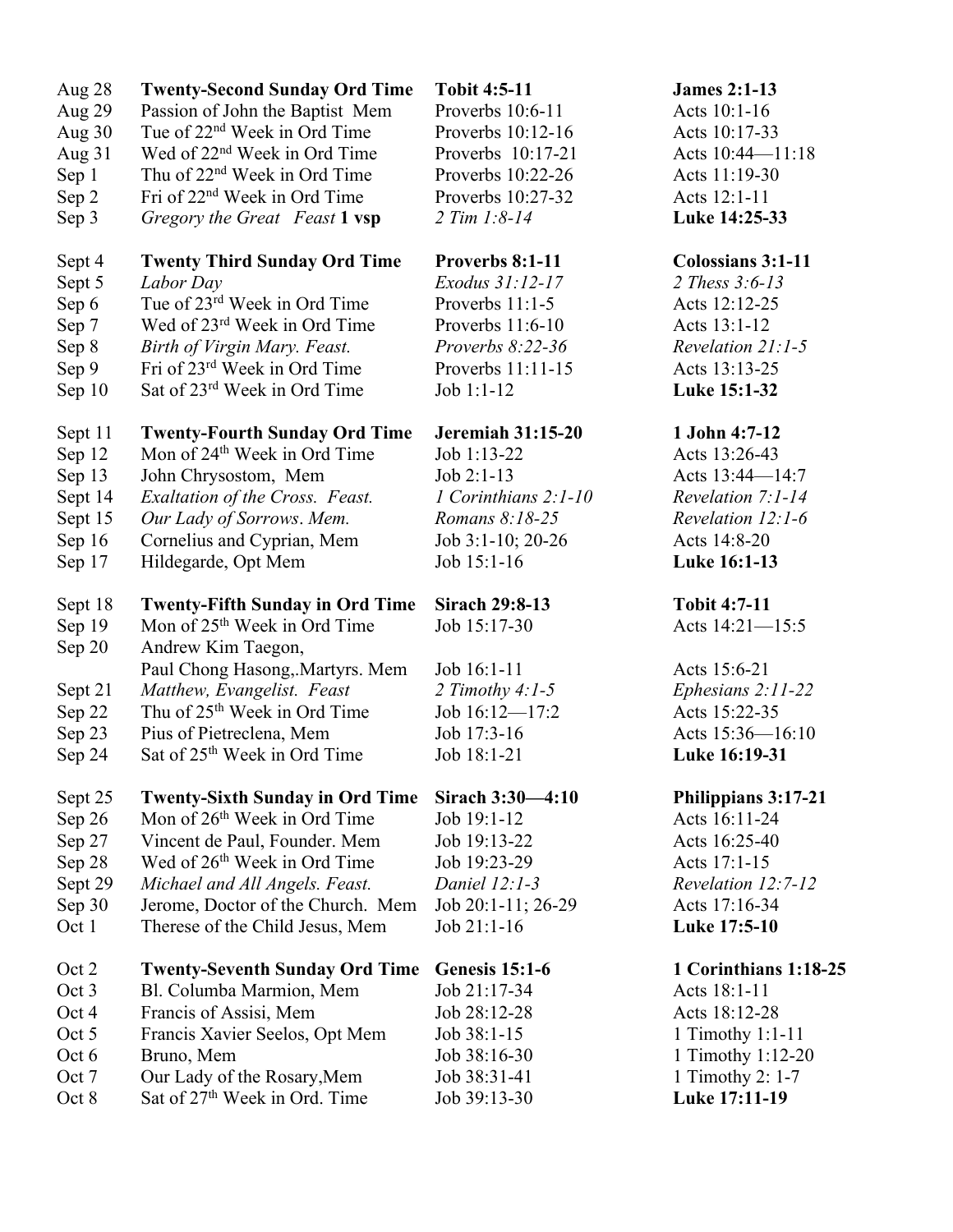| Aug 28                                                               | <b>Twenty-Second Sunday Ord Time</b>                                                                                                                                                                                                                                                          | <b>Tobit 4:5-11</b>                                                                                                       | <b>James 2:1-13</b>                                                                                                               |
|----------------------------------------------------------------------|-----------------------------------------------------------------------------------------------------------------------------------------------------------------------------------------------------------------------------------------------------------------------------------------------|---------------------------------------------------------------------------------------------------------------------------|-----------------------------------------------------------------------------------------------------------------------------------|
| Aug 29                                                               | Passion of John the Baptist Mem                                                                                                                                                                                                                                                               | Proverbs 10:6-11                                                                                                          | Acts 10:1-16                                                                                                                      |
| Aug 30                                                               | Tue of 22 <sup>nd</sup> Week in Ord Time                                                                                                                                                                                                                                                      | Proverbs 10:12-16                                                                                                         | Acts 10:17-33                                                                                                                     |
| Aug 31                                                               | Wed of 22 <sup>nd</sup> Week in Ord Time                                                                                                                                                                                                                                                      | Proverbs 10:17-21                                                                                                         | Acts 10:44-11:18                                                                                                                  |
| Sep 1                                                                | Thu of 22 <sup>nd</sup> Week in Ord Time                                                                                                                                                                                                                                                      | Proverbs 10:22-26                                                                                                         | Acts 11:19-30                                                                                                                     |
| Sep 2                                                                | Fri of 22 <sup>nd</sup> Week in Ord Time                                                                                                                                                                                                                                                      | Proverbs 10:27-32                                                                                                         | Acts 12:1-11                                                                                                                      |
| Sep 3                                                                | Gregory the Great Feast 1 vsp                                                                                                                                                                                                                                                                 | $2 Tim 1:8-14$                                                                                                            | Luke 14:25-33                                                                                                                     |
| Sept 4                                                               | <b>Twenty Third Sunday Ord Time</b>                                                                                                                                                                                                                                                           | Proverbs 8:1-11                                                                                                           | <b>Colossians 3:1-11</b>                                                                                                          |
| Sept 5                                                               | Labor Day                                                                                                                                                                                                                                                                                     | Exodus 31:12-17                                                                                                           | 2 Thess 3:6-13                                                                                                                    |
| Sep 6                                                                | Tue of 23 <sup>rd</sup> Week in Ord Time                                                                                                                                                                                                                                                      | Proverbs 11:1-5                                                                                                           | Acts 12:12-25                                                                                                                     |
| Sep 7                                                                | Wed of 23rd Week in Ord Time                                                                                                                                                                                                                                                                  | Proverbs 11:6-10                                                                                                          | Acts 13:1-12                                                                                                                      |
| Sep 8                                                                | Birth of Virgin Mary. Feast.                                                                                                                                                                                                                                                                  | Proverbs 8:22-36                                                                                                          | Revelation 21:1-5                                                                                                                 |
| Sep 9                                                                | Fri of 23rd Week in Ord Time                                                                                                                                                                                                                                                                  | Proverbs 11:11-15                                                                                                         | Acts 13:13-25                                                                                                                     |
| Sep 10                                                               | Sat of 23 <sup>rd</sup> Week in Ord Time                                                                                                                                                                                                                                                      | Job 1:1-12                                                                                                                | Luke 15:1-32                                                                                                                      |
| Sept 11                                                              | <b>Twenty-Fourth Sunday Ord Time</b>                                                                                                                                                                                                                                                          | <b>Jeremiah 31:15-20</b>                                                                                                  | 1 John 4:7-12                                                                                                                     |
| Sep 12                                                               | Mon of 24 <sup>th</sup> Week in Ord Time                                                                                                                                                                                                                                                      | Job 1:13-22                                                                                                               | Acts 13:26-43                                                                                                                     |
| Sep 13                                                               | John Chrysostom, Mem                                                                                                                                                                                                                                                                          | $Job 2:1-13$                                                                                                              | Acts 13:44-14:7                                                                                                                   |
| Sept 14                                                              | Exaltation of the Cross. Feast.                                                                                                                                                                                                                                                               | 1 Corinthians 2:1-10                                                                                                      | Revelation 7:1-14                                                                                                                 |
| Sept 15                                                              | Our Lady of Sorrows. Mem.                                                                                                                                                                                                                                                                     | Romans 8:18-25                                                                                                            | Revelation 12:1-6                                                                                                                 |
| Sep 16                                                               | Cornelius and Cyprian, Mem                                                                                                                                                                                                                                                                    | Job 3:1-10; 20-26                                                                                                         | Acts 14:8-20                                                                                                                      |
| Sep 17                                                               | Hildegarde, Opt Mem                                                                                                                                                                                                                                                                           | Job 15:1-16                                                                                                               | Luke 16:1-13                                                                                                                      |
| Sept 18<br>Sep 19<br>Sep 20<br>Sept 21<br>Sep 22<br>Sep 23<br>Sep 24 | <b>Twenty-Fifth Sunday in Ord Time</b><br>Mon of 25 <sup>th</sup> Week in Ord Time<br>Andrew Kim Taegon,<br>Paul Chong Hasong, Martyrs. Mem<br>Matthew, Evangelist. Feast<br>Thu of 25 <sup>th</sup> Week in Ord Time<br>Pius of Pietreclena, Mem<br>Sat of 25 <sup>th</sup> Week in Ord Time | <b>Sirach 29:8-13</b><br>Job 15:17-30<br>Job 16:1-11<br>2 Timothy $4:1-5$<br>Job 16:12-17:2<br>Job 17:3-16<br>Job 18:1-21 | <b>Tobit 4:7-11</b><br>Acts 14:21-15:5<br>Acts 15:6-21<br>Ephesians 2:11-22<br>Acts 15:22-35<br>Acts 15:36-16:10<br>Luke 16:19-31 |
| Sept 25                                                              | <b>Twenty-Sixth Sunday in Ord Time</b>                                                                                                                                                                                                                                                        | Sirach 3:30-4:10                                                                                                          | Philippians 3:17-21                                                                                                               |
| Sep 26                                                               | Mon of 26 <sup>th</sup> Week in Ord Time                                                                                                                                                                                                                                                      | Job 19:1-12                                                                                                               | Acts 16:11-24                                                                                                                     |
| Sep 27                                                               | Vincent de Paul, Founder. Mem                                                                                                                                                                                                                                                                 | Job 19:13-22                                                                                                              | Acts 16:25-40                                                                                                                     |
| Sep 28                                                               | Wed of 26 <sup>th</sup> Week in Ord Time                                                                                                                                                                                                                                                      | Job 19:23-29                                                                                                              | Acts 17:1-15                                                                                                                      |
| Sept 29                                                              | Michael and All Angels. Feast.                                                                                                                                                                                                                                                                | Daniel $12:1-3$                                                                                                           | Revelation 12:7-12                                                                                                                |
| Sep 30                                                               | Jerome, Doctor of the Church. Mem                                                                                                                                                                                                                                                             | Job 20:1-11; 26-29                                                                                                        | Acts 17:16-34                                                                                                                     |
| Oct 1                                                                | Therese of the Child Jesus, Mem                                                                                                                                                                                                                                                               | Job 21:1-16                                                                                                               | Luke 17:5-10                                                                                                                      |
| Oct 2                                                                | <b>Twenty-Seventh Sunday Ord Time</b>                                                                                                                                                                                                                                                         | <b>Genesis 15:1-6</b>                                                                                                     | 1 Corinthians 1:18-25                                                                                                             |
| Oct 3                                                                | Bl. Columba Marmion, Mem                                                                                                                                                                                                                                                                      | Job 21:17-34                                                                                                              | Acts 18:1-11                                                                                                                      |
| Oct 4                                                                | Francis of Assisi, Mem                                                                                                                                                                                                                                                                        | Job 28:12-28                                                                                                              | Acts 18:12-28                                                                                                                     |
| Oct 5                                                                | Francis Xavier Seelos, Opt Mem                                                                                                                                                                                                                                                                | Job 38:1-15                                                                                                               | 1 Timothy 1:1-11                                                                                                                  |
| Oct 6                                                                | Bruno, Mem                                                                                                                                                                                                                                                                                    | Job 38:16-30                                                                                                              | 1 Timothy 1:12-20                                                                                                                 |
| Oct 7                                                                | Our Lady of the Rosary, Mem                                                                                                                                                                                                                                                                   | Job 38:31-41                                                                                                              | 1 Timothy 2: 1-7                                                                                                                  |
| Oct 8                                                                | Sat of 27 <sup>th</sup> Week in Ord. Time                                                                                                                                                                                                                                                     | Job 39:13-30                                                                                                              | Luke 17:11-19                                                                                                                     |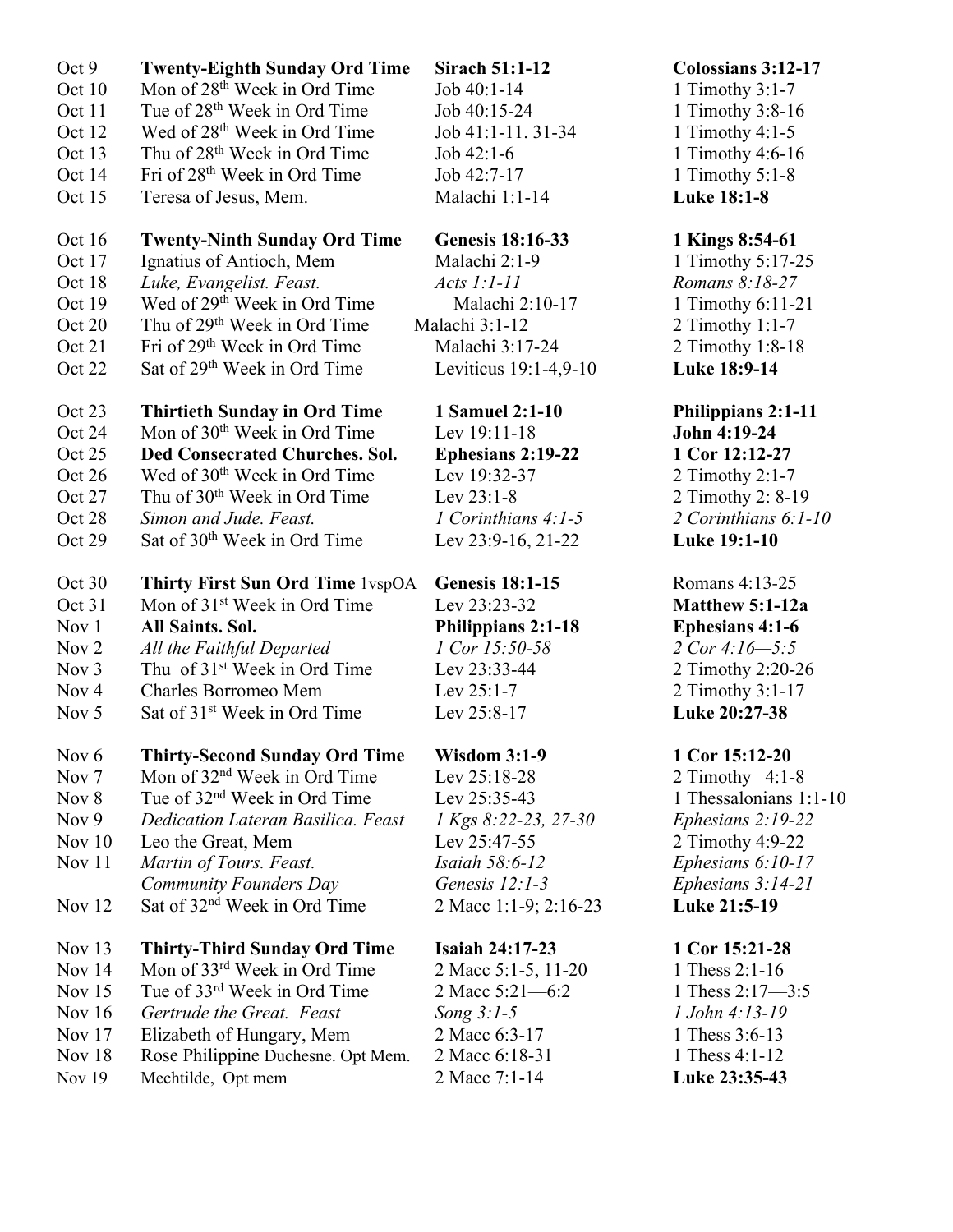| Oct <sub>9</sub> | <b>Twenty-Eighth Sunday Ord Time</b>       | <b>Sirach 51:1-12</b>   | Colossians 3:12-17     |
|------------------|--------------------------------------------|-------------------------|------------------------|
| Oct 10           | Mon of 28 <sup>th</sup> Week in Ord Time   | Job 40:1-14             | 1 Timothy $3:1-7$      |
| Oct 11           | Tue of 28 <sup>th</sup> Week in Ord Time   | Job 40:15-24            | 1 Timothy 3:8-16       |
| Oct 12           | Wed of 28 <sup>th</sup> Week in Ord Time   | Job 41:1-11. 31-34      | 1 Timothy $4:1-5$      |
| Oct 13           | Thu of 28 <sup>th</sup> Week in Ord Time   | Job $42:1-6$            | 1 Timothy 4:6-16       |
| Oct 14           | Fri of 28 <sup>th</sup> Week in Ord Time   | Job 42:7-17             | 1 Timothy $5:1-8$      |
| Oct 15           | Teresa of Jesus, Mem.                      | Malachi 1:1-14          | Luke 18:1-8            |
|                  |                                            |                         |                        |
| Oct 16           | <b>Twenty-Ninth Sunday Ord Time</b>        | <b>Genesis 18:16-33</b> | 1 Kings 8:54-61        |
| Oct 17           | Ignatius of Antioch, Mem                   | Malachi 2:1-9           | 1 Timothy 5:17-25      |
| Oct 18           | Luke, Evangelist. Feast.                   | $Acts 1:1-11$           | Romans 8:18-27         |
| Oct 19           | Wed of 29 <sup>th</sup> Week in Ord Time   | Malachi 2:10-17         | 1 Timothy 6:11-21      |
| Oct 20           | Thu of 29 <sup>th</sup> Week in Ord Time   | Malachi 3:1-12          | 2 Timothy $1:1-7$      |
| Oct 21           | Fri of 29 <sup>th</sup> Week in Ord Time   | Malachi 3:17-24         | 2 Timothy 1:8-18       |
| Oct 22           | Sat of 29 <sup>th</sup> Week in Ord Time   | Leviticus 19:1-4,9-10   | Luke 18:9-14           |
|                  |                                            |                         |                        |
| Oct 23           | <b>Thirtieth Sunday in Ord Time</b>        | 1 Samuel 2:1-10         | Philippians 2:1-11     |
| Oct 24           | Mon of 30 <sup>th</sup> Week in Ord Time   | Lev 19:11-18            | John 4:19-24           |
| Oct 25           | <b>Ded Consecrated Churches. Sol.</b>      | Ephesians 2:19-22       | 1 Cor 12:12-27         |
| Oct 26           | Wed of 30 <sup>th</sup> Week in Ord Time   | Lev 19:32-37            | 2 Timothy 2:1-7        |
| Oct 27           | Thu of 30 <sup>th</sup> Week in Ord Time   | Lev 23:1-8              | 2 Timothy 2: 8-19      |
| Oct 28           | Simon and Jude. Feast.                     | 1 Corinthians $4:1-5$   | 2 Corinthians 6:1-10   |
| Oct 29           | Sat of 30 <sup>th</sup> Week in Ord Time   | Lev 23:9-16, 21-22      | Luke 19:1-10           |
|                  |                                            |                         |                        |
| Oct 30           | Thirty First Sun Ord Time 1vspOA           | <b>Genesis 18:1-15</b>  | Romans 4:13-25         |
| Oct 31           | Mon of 31 <sup>st</sup> Week in Ord Time   | Lev 23:23-32            | Matthew 5:1-12a        |
| Nov 1            | <b>All Saints. Sol.</b>                    | Philippians 2:1-18      | <b>Ephesians 4:1-6</b> |
| Nov 2            | All the Faithful Departed                  | 1 Cor 15:50-58          | 2 Cor $4:16 - 5:5$     |
| Nov $3$          | Thu of 31 <sup>st</sup> Week in Ord Time   | Lev 23:33-44            | 2 Timothy 2:20-26      |
| Nov <sub>4</sub> | Charles Borromeo Mem                       | Lev $25:1-7$            | 2 Timothy 3:1-17       |
| Nov 5            | Sat of 31 <sup>st</sup> Week in Ord Time   | Lev 25:8-17             | Luke 20:27-38          |
|                  |                                            |                         |                        |
| Nov $6$          | Thirty-Second Sunday Ord Time Wisdom 3:1-9 |                         | 1 Cor 15:12-20         |
| Nov <sub>7</sub> | Mon of 32 <sup>nd</sup> Week in Ord Time   | Lev 25:18-28            | 2 Timothy $4:1-8$      |
| Nov 8            | Tue of 32 <sup>nd</sup> Week in Ord Time   | Lev 25:35-43            | 1 Thessalonians 1:1-10 |
| Nov $9$          | Dedication Lateran Basilica. Feast         | 1 Kgs 8:22-23, 27-30    | Ephesians $2:19-22$    |
| Nov $10$         | Leo the Great, Mem                         | Lev 25:47-55            | 2 Timothy 4:9-22       |
| Nov 11           | Martin of Tours. Feast.                    | Isaiah 58:6-12          | Ephesians 6:10-17      |
|                  | Community Founders Day                     | Genesis 12:1-3          | Ephesians $3:14-21$    |
| Nov $12$         | Sat of 32 <sup>nd</sup> Week in Ord Time   | 2 Macc 1:1-9; 2:16-23   | Luke 21:5-19           |
|                  |                                            |                         |                        |
| Nov $13$         | <b>Thirty-Third Sunday Ord Time</b>        | <b>Isaiah 24:17-23</b>  | 1 Cor 15:21-28         |
| Nov 14           | Mon of 33 <sup>rd</sup> Week in Ord Time   | 2 Macc 5:1-5, 11-20     | 1 Thess 2:1-16         |
| Nov $15$         | Tue of 33rd Week in Ord Time               | 2 Macc 5:21-6:2         | 1 Thess 2:17-3:5       |
| Nov $16$         | Gertrude the Great. Feast                  | Song $3:1-5$            | 1 John 4:13-19         |
| Nov $17$         | Elizabeth of Hungary, Mem                  | 2 Macc 6:3-17           | 1 Thess 3:6-13         |
| Nov 18           | Rose Philippine Duchesne. Opt Mem.         | 2 Macc 6:18-31          | 1 Thess 4:1-12         |
| <b>Nov 19</b>    | Mechtilde, Opt mem                         | 2 Macc 7:1-14           | Luke 23:35-43          |
|                  |                                            |                         |                        |
|                  |                                            |                         |                        |